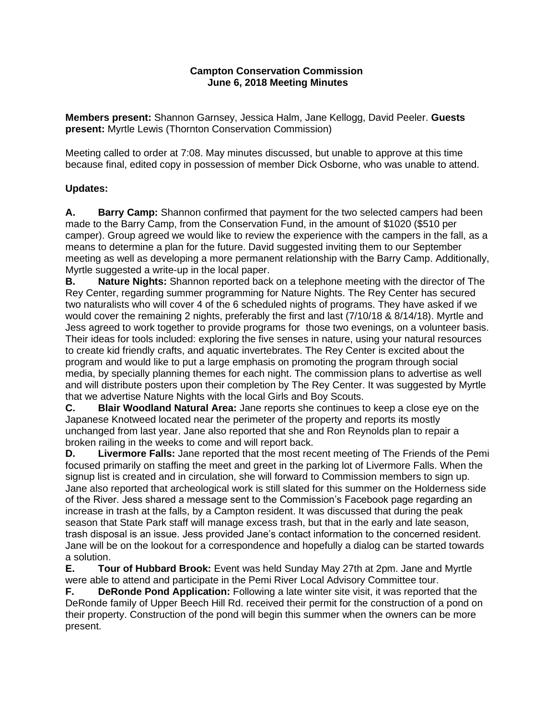## **Campton Conservation Commission June 6, 2018 Meeting Minutes**

**Members present:** Shannon Garnsey, Jessica Halm, Jane Kellogg, David Peeler. **Guests present:** Myrtle Lewis (Thornton Conservation Commission)

Meeting called to order at 7:08. May minutes discussed, but unable to approve at this time because final, edited copy in possession of member Dick Osborne, who was unable to attend.

# **Updates:**

**A. Barry Camp:** Shannon confirmed that payment for the two selected campers had been made to the Barry Camp, from the Conservation Fund, in the amount of \$1020 (\$510 per camper). Group agreed we would like to review the experience with the campers in the fall, as a means to determine a plan for the future. David suggested inviting them to our September meeting as well as developing a more permanent relationship with the Barry Camp. Additionally, Myrtle suggested a write-up in the local paper.

**B. Nature Nights:** Shannon reported back on a telephone meeting with the director of The Rey Center, regarding summer programming for Nature Nights. The Rey Center has secured two naturalists who will cover 4 of the 6 scheduled nights of programs. They have asked if we would cover the remaining 2 nights, preferably the first and last (7/10/18 & 8/14/18). Myrtle and Jess agreed to work together to provide programs for those two evenings, on a volunteer basis. Their ideas for tools included: exploring the five senses in nature, using your natural resources to create kid friendly crafts, and aquatic invertebrates. The Rey Center is excited about the program and would like to put a large emphasis on promoting the program through social media, by specially planning themes for each night. The commission plans to advertise as well and will distribute posters upon their completion by The Rey Center. It was suggested by Myrtle that we advertise Nature Nights with the local Girls and Boy Scouts.

**C. Blair Woodland Natural Area:** Jane reports she continues to keep a close eye on the Japanese Knotweed located near the perimeter of the property and reports its mostly unchanged from last year. Jane also reported that she and Ron Reynolds plan to repair a broken railing in the weeks to come and will report back.

**D. Livermore Falls:** Jane reported that the most recent meeting of The Friends of the Pemi focused primarily on staffing the meet and greet in the parking lot of Livermore Falls. When the signup list is created and in circulation, she will forward to Commission members to sign up. Jane also reported that archeological work is still slated for this summer on the Holderness side of the River. Jess shared a message sent to the Commission's Facebook page regarding an increase in trash at the falls, by a Campton resident. It was discussed that during the peak season that State Park staff will manage excess trash, but that in the early and late season, trash disposal is an issue. Jess provided Jane's contact information to the concerned resident. Jane will be on the lookout for a correspondence and hopefully a dialog can be started towards a solution.

**E. Tour of Hubbard Brook:** Event was held Sunday May 27th at 2pm. Jane and Myrtle were able to attend and participate in the Pemi River Local Advisory Committee tour.

**F. DeRonde Pond Application:** Following a late winter site visit, it was reported that the DeRonde family of Upper Beech Hill Rd. received their permit for the construction of a pond on their property. Construction of the pond will begin this summer when the owners can be more present.